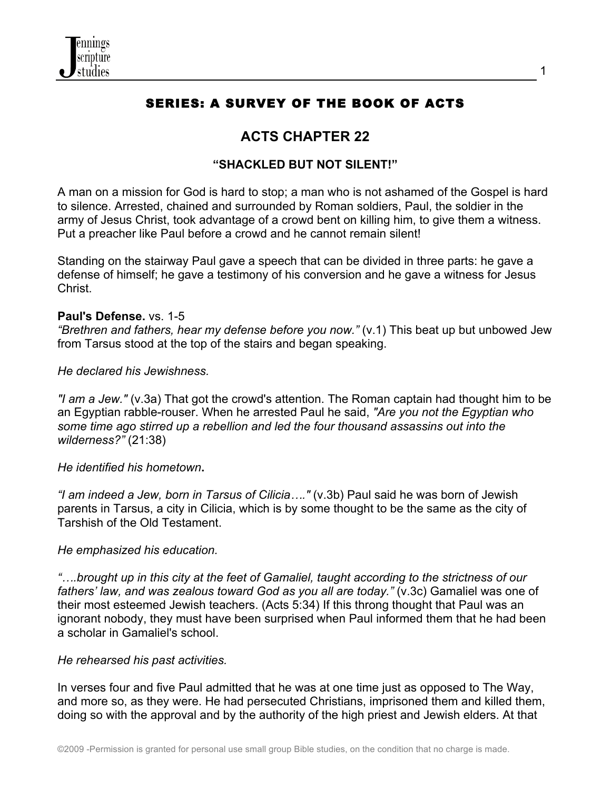

# SERIES: A SURVEY OF THE BOOK OF ACTS

# **ACTS CHAPTER 22**

## **"SHACKLED BUT NOT SILENT!"**

A man on a mission for God is hard to stop; a man who is not ashamed of the Gospel is hard to silence. Arrested, chained and surrounded by Roman soldiers, Paul, the soldier in the army of Jesus Christ, took advantage of a crowd bent on killing him, to give them a witness. Put a preacher like Paul before a crowd and he cannot remain silent!

Standing on the stairway Paul gave a speech that can be divided in three parts: he gave a defense of himself; he gave a testimony of his conversion and he gave a witness for Jesus **Christ** 

#### **Paul's Defense.** vs. 1-5

*"Brethren and fathers, hear my defense before you now."* (v.1) This beat up but unbowed Jew from Tarsus stood at the top of the stairs and began speaking.

#### *He declared his Jewishness.*

*"I am a Jew."* (v.3a) That got the crowd's attention. The Roman captain had thought him to be an Egyptian rabble-rouser. When he arrested Paul he said, *"Are you not the Egyptian who some time ago stirred up a rebellion and led the four thousand assassins out into the wilderness?"* (21:38)

#### *He identified his hometown***.**

*"I am indeed a Jew, born in Tarsus of Cilicia…."* (v.3b) Paul said he was born of Jewish parents in Tarsus, a city in Cilicia, which is by some thought to be the same as the city of Tarshish of the Old Testament.

### *He emphasized his education.*

*"….brought up in this city at the feet of Gamaliel, taught according to the strictness of our fathers' law, and was zealous toward God as you all are today."* (v.3c) Gamaliel was one of their most esteemed Jewish teachers. (Acts 5:34) If this throng thought that Paul was an ignorant nobody, they must have been surprised when Paul informed them that he had been a scholar in Gamaliel's school.

#### *He rehearsed his past activities.*

In verses four and five Paul admitted that he was at one time just as opposed to The Way, and more so, as they were. He had persecuted Christians, imprisoned them and killed them, doing so with the approval and by the authority of the high priest and Jewish elders. At that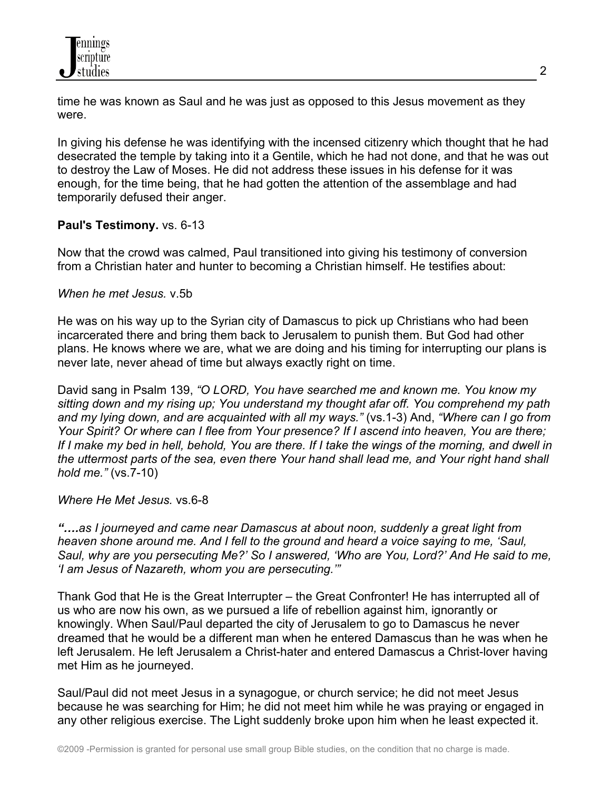time he was known as Saul and he was just as opposed to this Jesus movement as they were.

In giving his defense he was identifying with the incensed citizenry which thought that he had desecrated the temple by taking into it a Gentile, which he had not done, and that he was out to destroy the Law of Moses. He did not address these issues in his defense for it was enough, for the time being, that he had gotten the attention of the assemblage and had temporarily defused their anger.

# **Paul's Testimony.** vs. 6-13

Now that the crowd was calmed, Paul transitioned into giving his testimony of conversion from a Christian hater and hunter to becoming a Christian himself. He testifies about:

## *When he met Jesus.* v.5b

He was on his way up to the Syrian city of Damascus to pick up Christians who had been incarcerated there and bring them back to Jerusalem to punish them. But God had other plans. He knows where we are, what we are doing and his timing for interrupting our plans is never late, never ahead of time but always exactly right on time.

David sang in Psalm 139, *"O LORD, You have searched me and known me. You know my sitting down and my rising up; You understand my thought afar off. You comprehend my path and my lying down, and are acquainted with all my ways."* (vs.1-3) And, *"Where can I go from Your Spirit? Or where can I flee from Your presence? If I ascend into heaven, You are there; If I make my bed in hell, behold, You are there. If I take the wings of the morning, and dwell in the uttermost parts of the sea, even there Your hand shall lead me, and Your right hand shall hold me."* (vs.7-10)

### *Where He Met Jesus.* vs.6-8

*"….as I journeyed and came near Damascus at about noon, suddenly a great light from heaven shone around me. And I fell to the ground and heard a voice saying to me, 'Saul, Saul, why are you persecuting Me?' So I answered, 'Who are You, Lord?' And He said to me, 'I am Jesus of Nazareth, whom you are persecuting.'"*

Thank God that He is the Great Interrupter – the Great Confronter! He has interrupted all of us who are now his own, as we pursued a life of rebellion against him, ignorantly or knowingly. When Saul/Paul departed the city of Jerusalem to go to Damascus he never dreamed that he would be a different man when he entered Damascus than he was when he left Jerusalem. He left Jerusalem a Christ-hater and entered Damascus a Christ-lover having met Him as he journeyed.

Saul/Paul did not meet Jesus in a synagogue, or church service; he did not meet Jesus because he was searching for Him; he did not meet him while he was praying or engaged in any other religious exercise. The Light suddenly broke upon him when he least expected it.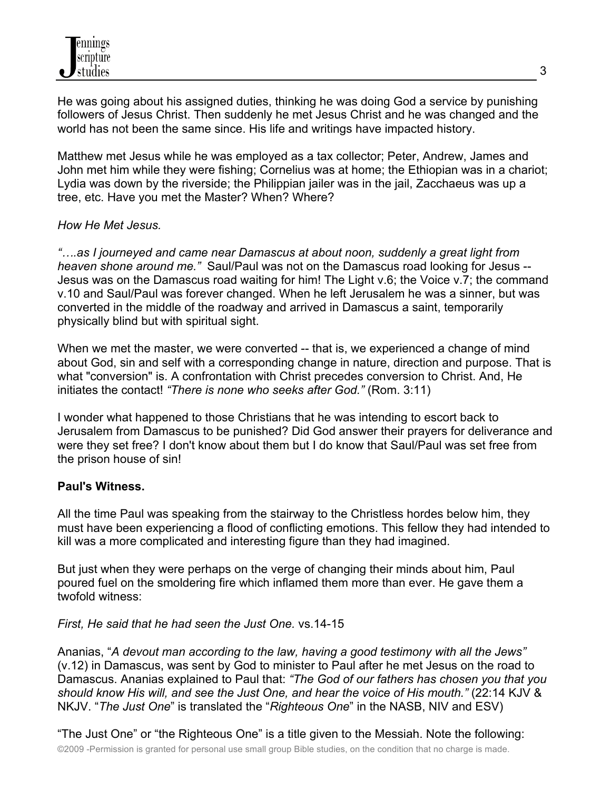He was going about his assigned duties, thinking he was doing God a service by punishing followers of Jesus Christ. Then suddenly he met Jesus Christ and he was changed and the world has not been the same since. His life and writings have impacted history.

Matthew met Jesus while he was employed as a tax collector; Peter, Andrew, James and John met him while they were fishing; Cornelius was at home; the Ethiopian was in a chariot; Lydia was down by the riverside; the Philippian jailer was in the jail, Zacchaeus was up a tree, etc. Have you met the Master? When? Where?

## *How He Met Jesus.*

*"….as I journeyed and came near Damascus at about noon, suddenly a great light from heaven shone around me."* Saul/Paul was not on the Damascus road looking for Jesus -- Jesus was on the Damascus road waiting for him! The Light v.6; the Voice v.7; the command v.10 and Saul/Paul was forever changed. When he left Jerusalem he was a sinner, but was converted in the middle of the roadway and arrived in Damascus a saint, temporarily physically blind but with spiritual sight.

When we met the master, we were converted -- that is, we experienced a change of mind about God, sin and self with a corresponding change in nature, direction and purpose. That is what "conversion" is. A confrontation with Christ precedes conversion to Christ. And, He initiates the contact! *"There is none who seeks after God."* (Rom. 3:11)

I wonder what happened to those Christians that he was intending to escort back to Jerusalem from Damascus to be punished? Did God answer their prayers for deliverance and were they set free? I don't know about them but I do know that Saul/Paul was set free from the prison house of sin!

### **Paul's Witness.**

All the time Paul was speaking from the stairway to the Christless hordes below him, they must have been experiencing a flood of conflicting emotions. This fellow they had intended to kill was a more complicated and interesting figure than they had imagined.

But just when they were perhaps on the verge of changing their minds about him, Paul poured fuel on the smoldering fire which inflamed them more than ever. He gave them a twofold witness:

*First, He said that he had seen the Just One.* vs.14-15

Ananias, "*A devout man according to the law, having a good testimony with all the Jews"* (v.12) in Damascus, was sent by God to minister to Paul after he met Jesus on the road to Damascus. Ananias explained to Paul that: *"The God of our fathers has chosen you that you should know His will, and see the Just One, and hear the voice of His mouth."* (22:14 KJV & NKJV. "*The Just One*" is translated the "*Righteous One*" in the NASB, NIV and ESV)

©2009 -Permission is granted for personal use small group Bible studies, on the condition that no charge is made. "The Just One" or "the Righteous One" is a title given to the Messiah. Note the following: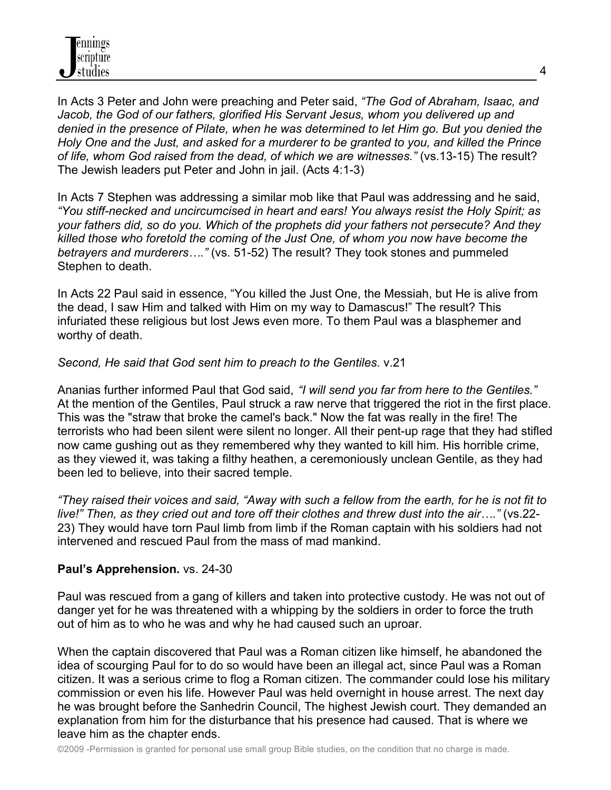In Acts 3 Peter and John were preaching and Peter said, *"The God of Abraham, Isaac, and Jacob, the God of our fathers, glorified His Servant Jesus, whom you delivered up and denied in the presence of Pilate, when he was determined to let Him go. But you denied the Holy One and the Just, and asked for a murderer to be granted to you, and killed the Prince of life, whom God raised from the dead, of which we are witnesses."* (vs.13-15) The result? The Jewish leaders put Peter and John in jail. (Acts 4:1-3)

In Acts 7 Stephen was addressing a similar mob like that Paul was addressing and he said, *"You stiff-necked and uncircumcised in heart and ears! You always resist the Holy Spirit; as your fathers did, so do you. Which of the prophets did your fathers not persecute? And they killed those who foretold the coming of the Just One, of whom you now have become the betrayers and murderers…."* (vs. 51-52) The result? They took stones and pummeled Stephen to death.

In Acts 22 Paul said in essence, "You killed the Just One, the Messiah, but He is alive from the dead, I saw Him and talked with Him on my way to Damascus!" The result? This infuriated these religious but lost Jews even more. To them Paul was a blasphemer and worthy of death.

## *Second, He said that God sent him to preach to the Gentiles.* v.21

Ananias further informed Paul that God said, *"I will send you far from here to the Gentiles."* At the mention of the Gentiles, Paul struck a raw nerve that triggered the riot in the first place. This was the "straw that broke the camel's back." Now the fat was really in the fire! The terrorists who had been silent were silent no longer. All their pent-up rage that they had stifled now came gushing out as they remembered why they wanted to kill him. His horrible crime, as they viewed it, was taking a filthy heathen, a ceremoniously unclean Gentile, as they had been led to believe, into their sacred temple.

*"They raised their voices and said, "Away with such a fellow from the earth, for he is not fit to live!" Then, as they cried out and tore off their clothes and threw dust into the air…."* (vs.22- 23) They would have torn Paul limb from limb if the Roman captain with his soldiers had not intervened and rescued Paul from the mass of mad mankind.

### **Paul's Apprehension.** vs. 24-30

Paul was rescued from a gang of killers and taken into protective custody. He was not out of danger yet for he was threatened with a whipping by the soldiers in order to force the truth out of him as to who he was and why he had caused such an uproar.

When the captain discovered that Paul was a Roman citizen like himself, he abandoned the idea of scourging Paul for to do so would have been an illegal act, since Paul was a Roman citizen. It was a serious crime to flog a Roman citizen. The commander could lose his military commission or even his life. However Paul was held overnight in house arrest. The next day he was brought before the Sanhedrin Council, The highest Jewish court. They demanded an explanation from him for the disturbance that his presence had caused. That is where we leave him as the chapter ends.